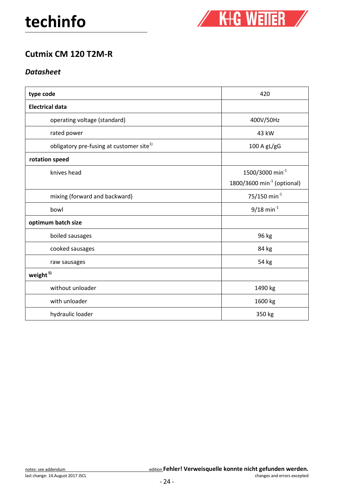

## Cutmix CM 120 T2M-R

### **Datasheet**

| type code                                            | 420                                                            |
|------------------------------------------------------|----------------------------------------------------------------|
| <b>Electrical data</b>                               |                                                                |
| operating voltage (standard)                         | 400V/50Hz                                                      |
| rated power                                          | 43 kW                                                          |
| obligatory pre-fusing at customer site <sup>1)</sup> | 100 A gL/gG                                                    |
| rotation speed                                       |                                                                |
| knives head                                          | 1500/3000 min <sup>-1</sup><br>1800/3600 $min^{-1}$ (optional) |
| mixing (forward and backward)                        | 75/150 min <sup>-1</sup>                                       |
| bowl                                                 | $9/18$ min <sup>-1</sup>                                       |
| optimum batch size                                   |                                                                |
| boiled sausages                                      | 96 kg                                                          |
| cooked sausages                                      | 84 kg                                                          |
| raw sausages                                         | 54 kg                                                          |
| weight <sup>5)</sup>                                 |                                                                |
| without unloader                                     | 1490 kg                                                        |
| with unloader                                        | 1600 kg                                                        |
| hydraulic loader                                     | 350 kg                                                         |